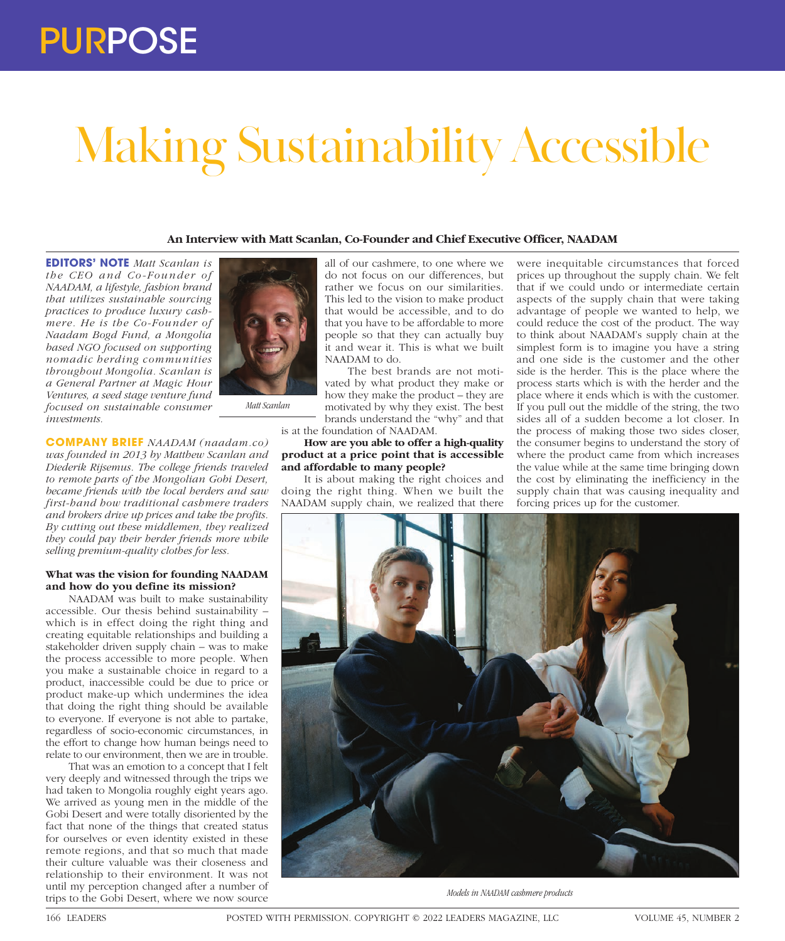# Making Sustainability Accessible

# **An Interview with Matt Scanlan, Co-Founder and Chief Executive Officer, NAADAM**

**EDITORS' NOTE** *Matt Scanlan is the CEO and Co-Founder of NAADAM, a lifestyle, fashion brand that utilizes sustainable sourcing practices to produce luxury cashmere. He is the Co-Founder of Naadam Bogd Fund, a Mongolia based NGO focused on supporting nomadic herding communities throughout Mongolia. Scanlan is a General Partner at Magic Hour Ventures, a seed stage venture fund focused on sustainable consumer investments.* 

**COMPANY BRIEF** *NAADAM (naadam.co) was founded in 2013 by Matthew Scanlan and Diederik Rijsemus. The college friends traveled to remote parts of the Mongolian Gobi Desert, became friends with the local herders and saw first-hand how traditional cashmere traders and brokers drive up prices and take the profits. By cutting out these middlemen, they realized they could pay their herder friends more while selling premium-quality clothes for less.*

*Matt Scanlan*

### **What was the vision for founding NAADAM and how do you define its mission?**

NAADAM was built to make sustainability accessible. Our thesis behind sustainability – which is in effect doing the right thing and creating equitable relationships and building a stakeholder driven supply chain – was to make the process accessible to more people. When you make a sustainable choice in regard to a product, inaccessible could be due to price or product make-up which undermines the idea that doing the right thing should be available to everyone. If everyone is not able to partake, regardless of socio-economic circumstances, in the effort to change how human beings need to relate to our environment, then we are in trouble.

That was an emotion to a concept that I felt very deeply and witnessed through the trips we had taken to Mongolia roughly eight years ago. We arrived as young men in the middle of the Gobi Desert and were totally disoriented by the fact that none of the things that created status for ourselves or even identity existed in these remote regions, and that so much that made their culture valuable was their closeness and relationship to their environment. It was not until my perception changed after a number of trips to the Gobi Desert, where we now source



The best brands are not motivated by what product they make or how they make the product – they are motivated by why they exist. The best brands understand the "why" and that is at the foundation of NAADAM.

**How are you able to offer a high-quality product at a price point that is accessible and affordable to many people?**

It is about making the right choices and doing the right thing. When we built the NAADAM supply chain, we realized that there

were inequitable circumstances that forced prices up throughout the supply chain. We felt that if we could undo or intermediate certain aspects of the supply chain that were taking advantage of people we wanted to help, we could reduce the cost of the product. The way to think about NAADAM's supply chain at the simplest form is to imagine you have a string and one side is the customer and the other side is the herder. This is the place where the process starts which is with the herder and the place where it ends which is with the customer. If you pull out the middle of the string, the two sides all of a sudden become a lot closer. In the process of making those two sides closer, the consumer begins to understand the story of where the product came from which increases the value while at the same time bringing down the cost by eliminating the inefficiency in the supply chain that was causing inequality and forcing prices up for the customer.



*Models in NAADAM cashmere products*